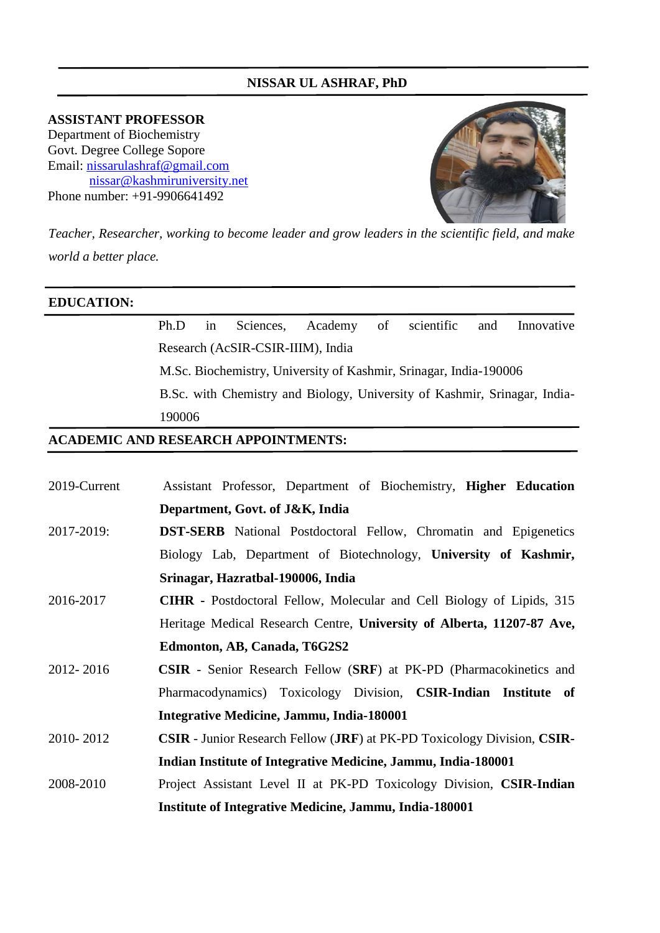## **NISSAR UL ASHRAF, PhD**

**ASSISTANT PROFESSOR** Department of Biochemistry Govt. Degree College Sopore Email: [nissarulashraf@gmail.com](mailto:nissarulashraf@gmail.com) nissar@kashmiruniversity.net Phone number: +91-9906641492



*Teacher, Researcher, working to become leader and grow leaders in the scientific field, and make world a better place.*

### **EDUCATION:**

# Ph.D in Sciences, Academy of scientific and Innovative Research (AcSIR-CSIR-IIIM), India

M.Sc. Biochemistry, University of Kashmir, Srinagar, India-190006

B.Sc. with Chemistry and Biology, University of Kashmir, Srinagar, India-190006

### **ACADEMIC AND RESEARCH APPOINTMENTS:**

| 2019-Current | Assistant Professor, Department of Biochemistry, Higher Education                              |
|--------------|------------------------------------------------------------------------------------------------|
|              | Department, Govt. of J&K, India                                                                |
| 2017-2019:   | <b>DST-SERB</b> National Postdoctoral Fellow, Chromatin and Epigenetics                        |
|              | Biology Lab, Department of Biotechnology, University of Kashmir,                               |
|              | Srinagar, Hazratbal-190006, India                                                              |
| 2016-2017    | <b>CIHR</b> - Postdoctoral Fellow, Molecular and Cell Biology of Lipids, 315                   |
|              | Heritage Medical Research Centre, University of Alberta, 11207-87 Ave,                         |
|              | Edmonton, AB, Canada, T6G2S2                                                                   |
| 2012-2016    | <b>CSIR</b> - Senior Research Fellow (SRF) at PK-PD (Pharmacokinetics and                      |
|              | Pharmacodynamics) Toxicology Division, <b>CSIR-Indian Institute of</b>                         |
|              | Integrative Medicine, Jammu, India-180001                                                      |
| 2010-2012    | <b>CSIR</b> - Junior Research Fellow ( <b>JRF</b> ) at PK-PD Toxicology Division, <b>CSIR-</b> |
|              | Indian Institute of Integrative Medicine, Jammu, India-180001                                  |
| 2008-2010    | Project Assistant Level II at PK-PD Toxicology Division, CSIR-Indian                           |
|              | <b>Institute of Integrative Medicine, Jammu, India-180001</b>                                  |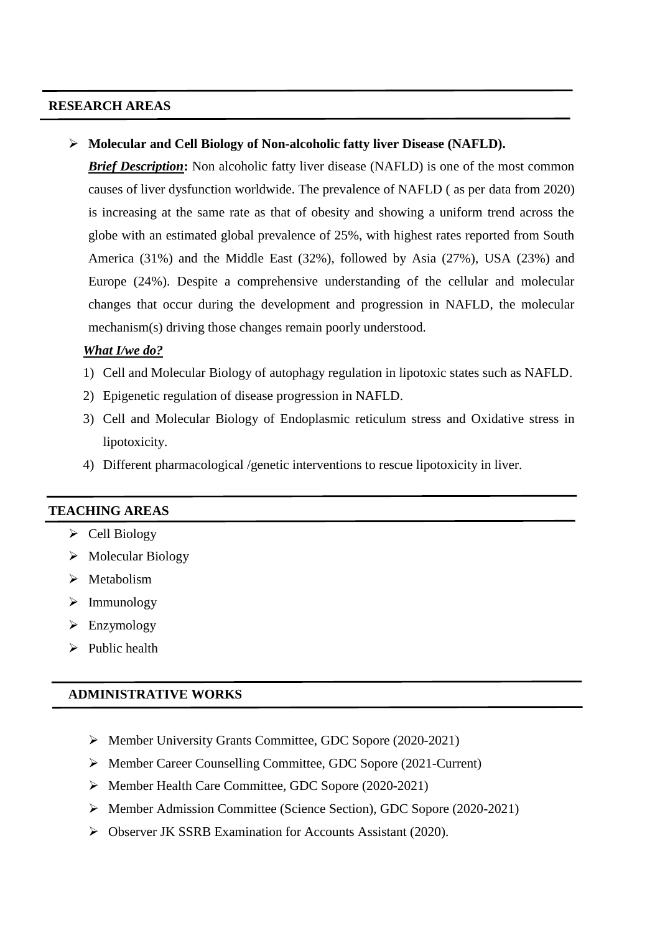### **RESEARCH AREAS**

**Molecular and Cell Biology of Non-alcoholic fatty liver Disease (NAFLD).**

*Brief Description*: Non alcoholic fatty liver disease (NAFLD) is one of the most common causes of liver dysfunction worldwide. The prevalence of NAFLD ( as per data from 2020) is increasing at the same rate as that of obesity and showing a uniform trend across the globe with an estimated global prevalence of 25%, with highest rates reported from South America (31%) and the Middle East (32%), followed by Asia (27%), USA (23%) and Europe (24%). Despite a comprehensive understanding of the cellular and molecular changes that occur during the development and progression in NAFLD, the molecular mechanism(s) driving those changes remain poorly understood.

#### *What I/we do?*

- 1) Cell and Molecular Biology of autophagy regulation in lipotoxic states such as NAFLD.
- 2) Epigenetic regulation of disease progression in NAFLD.
- 3) Cell and Molecular Biology of Endoplasmic reticulum stress and Oxidative stress in lipotoxicity.
- 4) Different pharmacological /genetic interventions to rescue lipotoxicity in liver.

### **TEACHING AREAS**

- $\triangleright$  Cell Biology
- $\triangleright$  Molecular Biology
- $\triangleright$  Metabolism
- $\triangleright$  Immunology
- Enzymology
- $\triangleright$  Public health

#### **ADMINISTRATIVE WORKS**

- Member University Grants Committee, GDC Sopore (2020-2021)
- Member Career Counselling Committee, GDC Sopore (2021-Current)
- Member Health Care Committee, GDC Sopore (2020-2021)
- Member Admission Committee (Science Section), GDC Sopore (2020-2021)
- Observer JK SSRB Examination for Accounts Assistant (2020).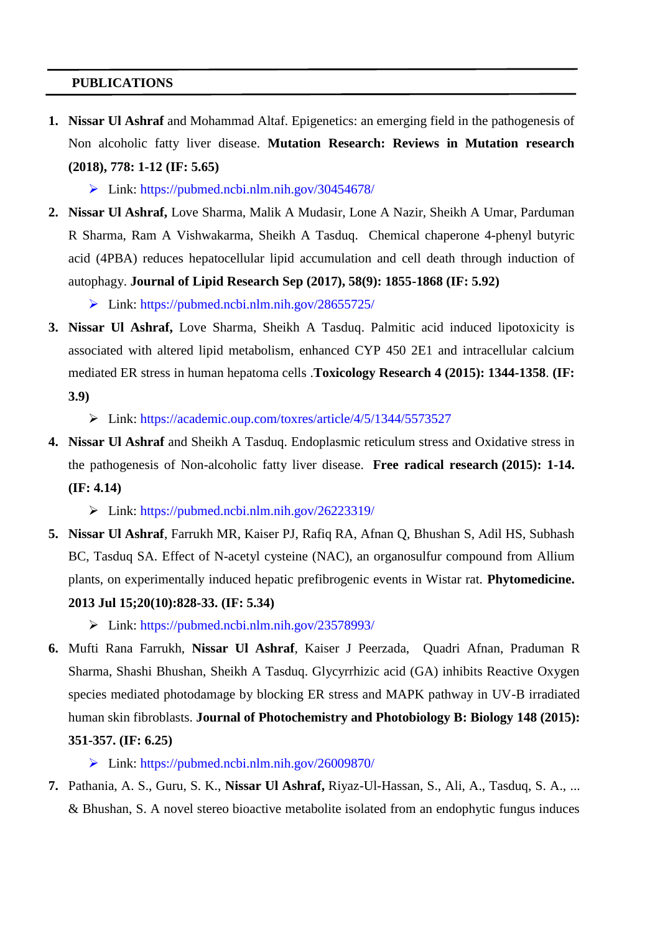### **PUBLICATIONS**

**1. Nissar Ul Ashraf** and Mohammad Altaf. Epigenetics: an emerging field in the pathogenesis of Non alcoholic fatty liver disease. **Mutation Research: Reviews in Mutation research (2018), 778: 1-12 (IF: 5.65)**

 $\triangleright$  Link: https://pubmed.ncbi.nlm.nih.gov/30454678/

**2. Nissar Ul Ashraf,** Love Sharma, Malik A Mudasir, Lone A Nazir, Sheikh A Umar, Parduman R Sharma, Ram A Vishwakarma, Sheikh A Tasduq. Chemical chaperone 4-phenyl butyric acid (4PBA) reduces hepatocellular lipid accumulation and cell death through induction of autophagy. **Journal of Lipid Research Sep (2017), 58(9): 1855-1868 (IF: 5.92)**

 $\triangleright$  Link: https://pubmed.ncbi.nlm.nih.gov/28655725/

**3. Nissar Ul Ashraf,** Love Sharma, Sheikh A Tasduq. Palmitic acid induced lipotoxicity is associated with altered lipid metabolism, enhanced CYP 450 2E1 and intracellular calcium mediated ER stress in human hepatoma cells .**Toxicology Research 4 (2015): 1344-1358**. **(IF: 3.9)**

Link: https://academic.oup.com/toxres/article/4/5/1344/5573527

**4. Nissar Ul Ashraf** and Sheikh A Tasduq. Endoplasmic reticulum stress and Oxidative stress in the pathogenesis of Non-alcoholic fatty liver disease. **Free radical research (2015): 1-14. (IF: 4.14)**

Link: https://pubmed.ncbi.nlm.nih.gov/26223319/

**5. Nissar Ul Ashraf**, Farrukh MR, Kaiser PJ, Rafiq RA, Afnan Q, Bhushan S, Adil HS, Subhash BC, Tasduq SA. [Effect of N-acetyl cysteine \(NAC\), an organosulfur compound from Allium](http://www.ncbi.nlm.nih.gov/pubmed/23578993)  [plants, on experimentally induced hepatic prefibrogenic events in Wistar rat.](http://www.ncbi.nlm.nih.gov/pubmed/23578993) **Phytomedicine. 2013 Jul 15;20(10):828-33. (IF: 5.34)**

 $\triangleright$  Link: https://pubmed.ncbi.nlm.nih.gov/23578993/

**6.** Mufti Rana Farrukh, **Nissar Ul Ashraf**, Kaiser J Peerzada, Quadri Afnan, Praduman R Sharma, Shashi Bhushan, Sheikh A Tasduq. Glycyrrhizic acid (GA) inhibits Reactive Oxygen species mediated photodamage by blocking ER stress and MAPK pathway in UV-B irradiated human skin fibroblasts. **Journal of Photochemistry and Photobiology B: Biology 148 (2015): 351-357. (IF: 6.25)**

Link: https://pubmed.ncbi.nlm.nih.gov/26009870/

**7.** Pathania, A. S., Guru, S. K., **Nissar Ul Ashraf,** Riyaz-Ul-Hassan, S., Ali, A., Tasduq, S. A., ... & Bhushan, S. A novel stereo bioactive metabolite isolated from an endophytic fungus induces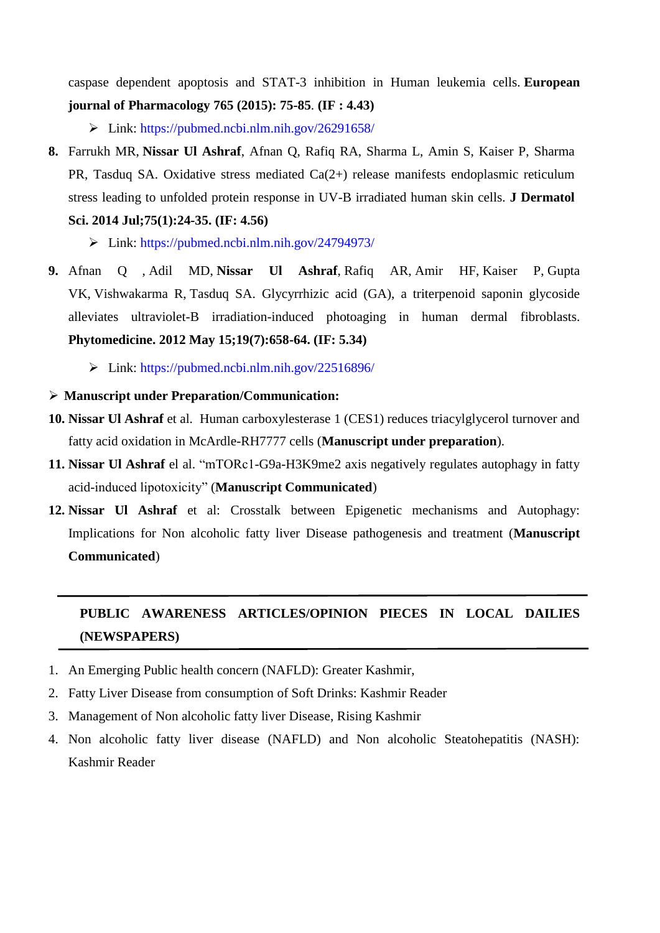caspase dependent apoptosis and STAT-3 inhibition in Human leukemia cells. **European journal of Pharmacology 765 (2015): 75-85**. **(IF : 4.43)**

 $\triangleright$  Link: https://pubmed.ncbi.nlm.nih.gov/26291658/

**8.** Farrukh MR, **Nissar Ul Ashraf**, Afnan Q, Rafiq RA, Sharma L, Amin S, Kaiser P, Sharma PR, Tasduq SA. [Oxidative stress mediated Ca\(2+\) release manifests endoplasmic reticulum](http://www.ncbi.nlm.nih.gov/pubmed/24794973)  [stress leading to unfolded protein response in UV-B irradiated human skin cells.](http://www.ncbi.nlm.nih.gov/pubmed/24794973) **J Dermatol** 

**Sci. 2014 Jul;75(1):24-35. (IF: 4.56)**

Link: https://pubmed.ncbi.nlm.nih.gov/24794973/

- **9.** [Afnan Q](http://www.ncbi.nlm.nih.gov/pubmed/?term=Afnan%20Q%5BAuthor%5D&cauthor=true&cauthor_uid=22516896) , [Adil MD,](http://www.ncbi.nlm.nih.gov/pubmed/?term=Adil%20MD%5BAuthor%5D&cauthor=true&cauthor_uid=22516896) **[Nissar](http://www.ncbi.nlm.nih.gov/pubmed/?term=Nissar-Ul%20A%5BAuthor%5D&cauthor=true&cauthor_uid=22516896) Ul Ashraf**, [Rafiq AR,](http://www.ncbi.nlm.nih.gov/pubmed/?term=Rafiq%20AR%5BAuthor%5D&cauthor=true&cauthor_uid=22516896) [Amir HF,](http://www.ncbi.nlm.nih.gov/pubmed/?term=Amir%20HF%5BAuthor%5D&cauthor=true&cauthor_uid=22516896) [Kaiser P,](http://www.ncbi.nlm.nih.gov/pubmed/?term=Kaiser%20P%5BAuthor%5D&cauthor=true&cauthor_uid=22516896) [Gupta](http://www.ncbi.nlm.nih.gov/pubmed/?term=Gupta%20VK%5BAuthor%5D&cauthor=true&cauthor_uid=22516896)  [VK,](http://www.ncbi.nlm.nih.gov/pubmed/?term=Gupta%20VK%5BAuthor%5D&cauthor=true&cauthor_uid=22516896) [Vishwakarma R,](http://www.ncbi.nlm.nih.gov/pubmed/?term=Vishwakarma%20R%5BAuthor%5D&cauthor=true&cauthor_uid=22516896) [Tasduq SA.](http://www.ncbi.nlm.nih.gov/pubmed/?term=Tasduq%20SA%5BAuthor%5D&cauthor=true&cauthor_uid=22516896) Glycyrrhizic acid (GA), a triterpenoid saponin glycoside alleviates ultraviolet-B irradiation-induced photoaging in human dermal fibroblasts. **[Phytomedicine.](http://www.ncbi.nlm.nih.gov/pubmed/?term=Nissar+ul+Ashraf%2C+Indian+Institute+of+Integrative+medicine) 2012 May 15;19(7):658-64. (IF: 5.34)**
	- Link: https://pubmed.ncbi.nlm.nih.gov/22516896/
- **Manuscript under Preparation/Communication:**
- **10. Nissar Ul Ashraf** et al. Human carboxylesterase 1 (CES1) reduces triacylglycerol turnover and fatty acid oxidation in McArdle-RH7777 cells (**Manuscript under preparation**).
- **11. Nissar Ul Ashraf** el al. "mTORc1-G9a-H3K9me2 axis negatively regulates autophagy in fatty acid-induced lipotoxicity" (**Manuscript Communicated**)
- **12. Nissar Ul Ashraf** et al: Crosstalk between Epigenetic mechanisms and Autophagy: Implications for Non alcoholic fatty liver Disease pathogenesis and treatment (**Manuscript Communicated**)

# **PUBLIC AWARENESS ARTICLES/OPINION PIECES IN LOCAL DAILIES (NEWSPAPERS)**

- 1. An Emerging Public health concern (NAFLD): Greater Kashmir,
- 2. Fatty Liver Disease from consumption of Soft Drinks: Kashmir Reader
- 3. Management of Non alcoholic fatty liver Disease, Rising Kashmir
- 4. Non alcoholic fatty liver disease (NAFLD) and Non alcoholic Steatohepatitis (NASH): Kashmir Reader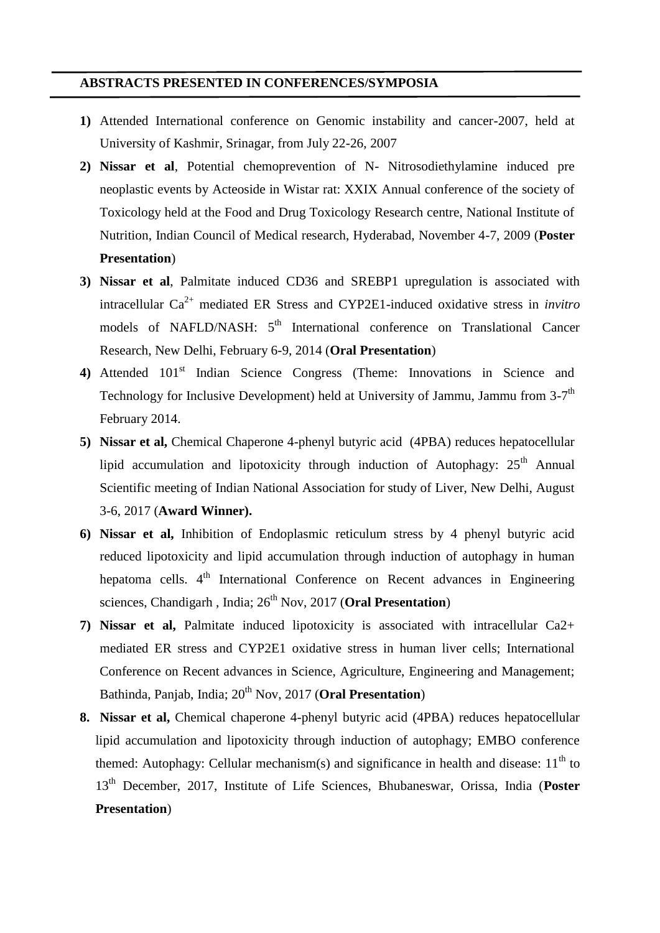### **ABSTRACTS PRESENTED IN CONFERENCES/SYMPOSIA**

- **1)** Attended International conference on Genomic instability and cancer-2007, held at University of Kashmir, Srinagar, from July 22-26, 2007
- **2) Nissar et al**, Potential chemoprevention of N- Nitrosodiethylamine induced pre neoplastic events by Acteoside in Wistar rat: XXIX Annual conference of the society of Toxicology held at the Food and Drug Toxicology Research centre, National Institute of Nutrition, Indian Council of Medical research, Hyderabad, November 4-7, 2009 (**Poster Presentation**)
- **3) Nissar et al**, Palmitate induced CD36 and SREBP1 upregulation is associated with intracellular Ca2+ mediated ER Stress and CYP2E1-induced oxidative stress in *invitro* models of NAFLD/NASH: 5<sup>th</sup> International conference on Translational Cancer Research, New Delhi, February 6-9, 2014 (**Oral Presentation**)
- 4) Attended 101<sup>st</sup> Indian Science Congress (Theme: Innovations in Science and Technology for Inclusive Development) held at University of Jammu, Jammu from 3-7<sup>th</sup> February 2014.
- **5) Nissar et al,** Chemical Chaperone 4-phenyl butyric acid (4PBA) reduces hepatocellular lipid accumulation and lipotoxicity through induction of Autophagy:  $25<sup>th</sup>$  Annual Scientific meeting of Indian National Association for study of Liver, New Delhi, August 3-6, 2017 (**Award Winner).**
- **6) Nissar et al,** Inhibition of Endoplasmic reticulum stress by 4 phenyl butyric acid reduced lipotoxicity and lipid accumulation through induction of autophagy in human hepatoma cells. 4<sup>th</sup> International Conference on Recent advances in Engineering sciences, Chandigarh , India; 26<sup>th</sup> Nov, 2017 (**Oral Presentation**)
- **7) Nissar et al,** Palmitate induced lipotoxicity is associated with intracellular Ca2+ mediated ER stress and CYP2E1 oxidative stress in human liver cells; International Conference on Recent advances in Science, Agriculture, Engineering and Management; Bathinda, Panjab, India; 20<sup>th</sup> Nov, 2017 (**Oral Presentation**)
- **8. Nissar et al,** Chemical chaperone 4-phenyl butyric acid (4PBA) reduces hepatocellular lipid accumulation and lipotoxicity through induction of autophagy; EMBO conference themed: Autophagy: Cellular mechanism(s) and significance in health and disease:  $11<sup>th</sup>$  to 13th December, 2017, Institute of Life Sciences, Bhubaneswar, Orissa, India (**Poster Presentation**)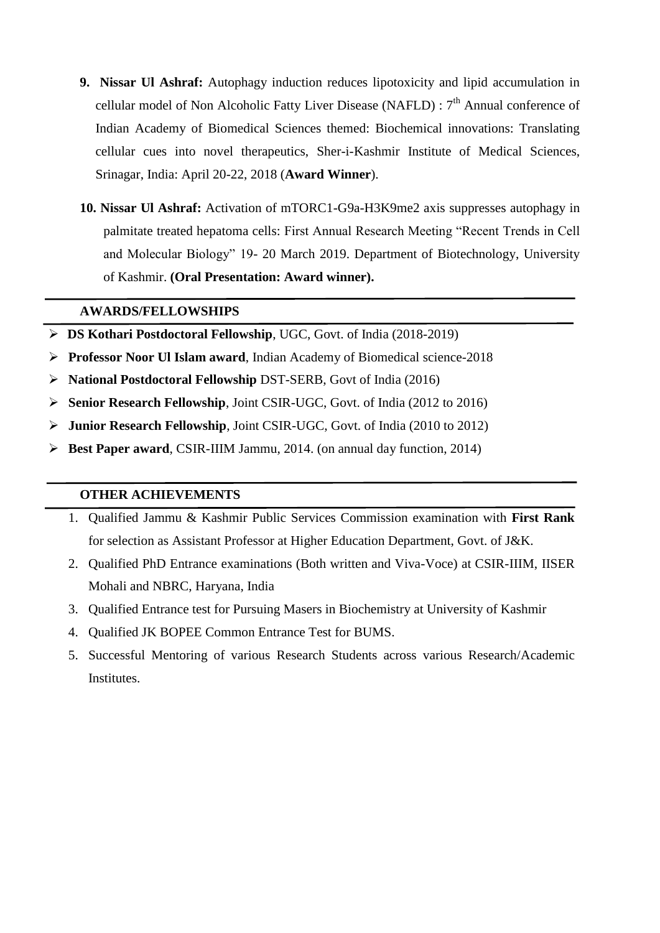- **9. Nissar Ul Ashraf:** Autophagy induction reduces lipotoxicity and lipid accumulation in cellular model of Non Alcoholic Fatty Liver Disease (NAFLD) :  $7<sup>th</sup>$  Annual conference of Indian Academy of Biomedical Sciences themed: Biochemical innovations: Translating cellular cues into novel therapeutics, Sher-i-Kashmir Institute of Medical Sciences, Srinagar, India: April 20-22, 2018 (**Award Winner**).
- **10. Nissar Ul Ashraf:** Activation of mTORC1-G9a-H3K9me2 axis suppresses autophagy in palmitate treated hepatoma cells: First Annual Research Meeting "Recent Trends in Cell and Molecular Biology" 19- 20 March 2019. Department of Biotechnology, University of Kashmir. **(Oral Presentation: Award winner).**

### **AWARDS/FELLOWSHIPS**

- **DS Kothari Postdoctoral Fellowship**, UGC, Govt. of India (2018-2019)
- **Professor Noor Ul Islam award**, Indian Academy of Biomedical science-2018
- **National Postdoctoral Fellowship** DST-SERB, Govt of India (2016)
- **Senior Research Fellowship**, Joint CSIR-UGC, Govt. of India (2012 to 2016)
- **Junior Research Fellowship**, Joint CSIR-UGC, Govt. of India (2010 to 2012)
- **Best Paper award**, CSIR-IIIM Jammu, 2014. (on annual day function, 2014)

### **OTHER ACHIEVEMENTS**

- 1. Qualified Jammu & Kashmir Public Services Commission examination with **First Rank** for selection as Assistant Professor at Higher Education Department, Govt. of J&K.
- 2. Qualified PhD Entrance examinations (Both written and Viva-Voce) at CSIR-IIIM, IISER Mohali and NBRC, Haryana, India
- 3. Qualified Entrance test for Pursuing Masers in Biochemistry at University of Kashmir
- 4. Qualified JK BOPEE Common Entrance Test for BUMS.
- 5. Successful Mentoring of various Research Students across various Research/Academic Institutes.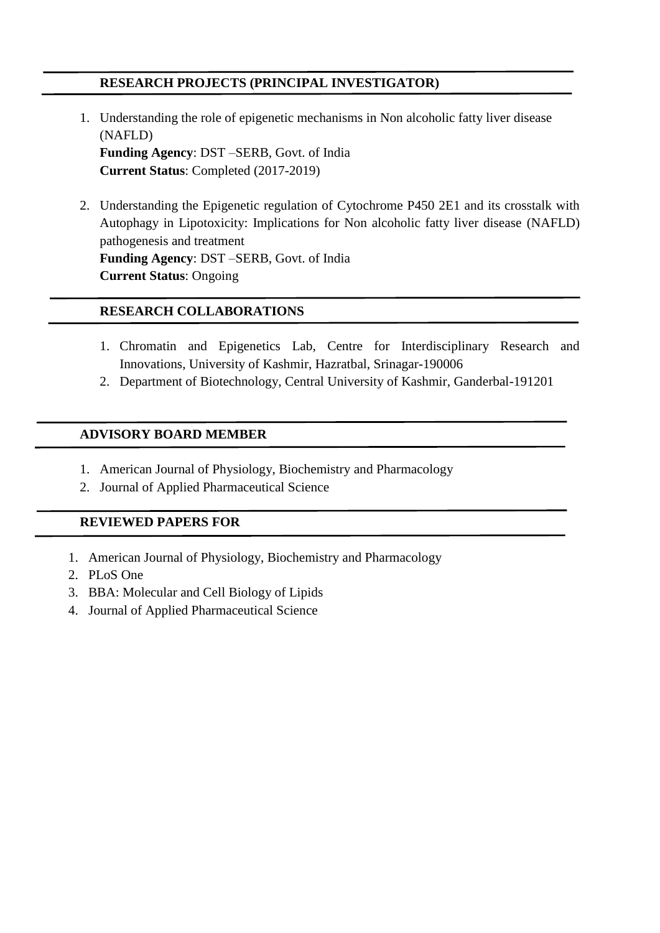# **RESEARCH PROJECTS (PRINCIPAL INVESTIGATOR)**

- 1. Understanding the role of epigenetic mechanisms in Non alcoholic fatty liver disease (NAFLD) **Funding Agency**: DST –SERB, Govt. of India **Current Status**: Completed (2017-2019)
- 2. Understanding the Epigenetic regulation of Cytochrome P450 2E1 and its crosstalk with Autophagy in Lipotoxicity: Implications for Non alcoholic fatty liver disease (NAFLD) pathogenesis and treatment **Funding Agency**: DST –SERB, Govt. of India **Current Status**: Ongoing

## **RESEARCH COLLABORATIONS**

- 1. Chromatin and Epigenetics Lab, Centre for Interdisciplinary Research and Innovations, University of Kashmir, Hazratbal, Srinagar-190006
- 2. Department of Biotechnology, Central University of Kashmir, Ganderbal-191201

### **ADVISORY BOARD MEMBER**

- 1. American Journal of Physiology, Biochemistry and Pharmacology
- 2. Journal of Applied Pharmaceutical Science

# **REVIEWED PAPERS FOR**

- 1. American Journal of Physiology, Biochemistry and Pharmacology
- 2. PLoS One
- 3. BBA: Molecular and Cell Biology of Lipids
- 4. Journal of Applied Pharmaceutical Science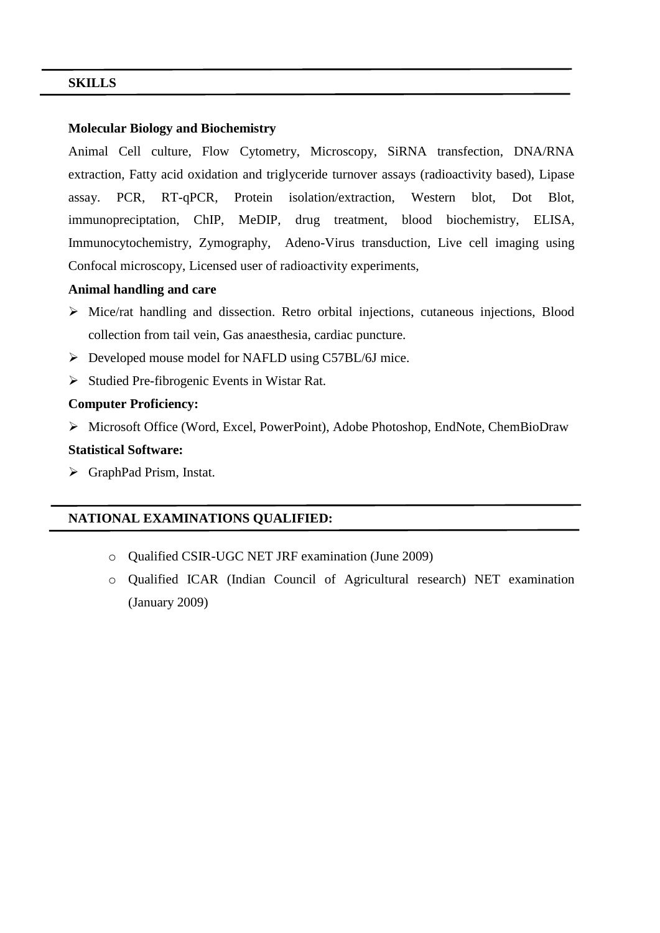### **SKILLS**

#### **Molecular Biology and Biochemistry**

Animal Cell culture, Flow Cytometry, Microscopy, SiRNA transfection, DNA/RNA extraction, Fatty acid oxidation and triglyceride turnover assays (radioactivity based), Lipase assay. PCR, RT-qPCR, Protein isolation/extraction, Western blot, Dot Blot, immunopreciptation, ChIP, MeDIP, drug treatment, blood biochemistry, ELISA, Immunocytochemistry, Zymography, Adeno-Virus transduction, Live cell imaging using Confocal microscopy, Licensed user of radioactivity experiments,

### **Animal handling and care**

- Mice/rat handling and dissection. Retro orbital injections, cutaneous injections, Blood collection from tail vein, Gas anaesthesia, cardiac puncture.
- $\triangleright$  Developed mouse model for NAFLD using C57BL/6J mice.
- $\triangleright$  Studied Pre-fibrogenic Events in Wistar Rat.

#### **Computer Proficiency:**

Microsoft Office (Word, Excel, PowerPoint), Adobe Photoshop, EndNote, ChemBioDraw

### **Statistical Software:**

GraphPad Prism, Instat.

### **NATIONAL EXAMINATIONS QUALIFIED:**

- o Qualified CSIR-UGC NET JRF examination (June 2009)
- o Qualified ICAR (Indian Council of Agricultural research) NET examination (January 2009)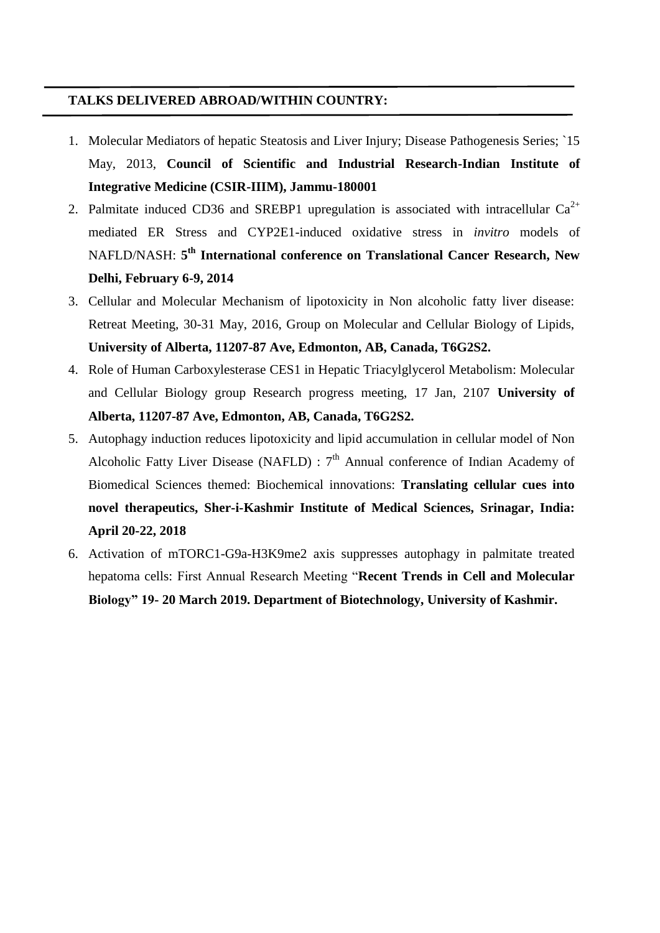### **TALKS DELIVERED ABROAD/WITHIN COUNTRY:**

- 1. Molecular Mediators of hepatic Steatosis and Liver Injury; Disease Pathogenesis Series; `15 May, 2013, **Council of Scientific and Industrial Research-Indian Institute of Integrative Medicine (CSIR-IIIM), Jammu-180001**
- 2. Palmitate induced CD36 and SREBP1 upregulation is associated with intracellular  $Ca^{2+}$ mediated ER Stress and CYP2E1-induced oxidative stress in *invitro* models of NAFLD/NASH: **5 th International conference on Translational Cancer Research, New Delhi, February 6-9, 2014**
- 3. Cellular and Molecular Mechanism of lipotoxicity in Non alcoholic fatty liver disease: Retreat Meeting, 30-31 May, 2016, Group on Molecular and Cellular Biology of Lipids, **University of Alberta, 11207-87 Ave, Edmonton, AB, Canada, T6G2S2.**
- 4. Role of Human Carboxylesterase CES1 in Hepatic Triacylglycerol Metabolism: Molecular and Cellular Biology group Research progress meeting, 17 Jan, 2107 **University of Alberta, 11207-87 Ave, Edmonton, AB, Canada, T6G2S2.**
- 5. Autophagy induction reduces lipotoxicity and lipid accumulation in cellular model of Non Alcoholic Fatty Liver Disease (NAFLD) :  $7<sup>th</sup>$  Annual conference of Indian Academy of Biomedical Sciences themed: Biochemical innovations: **Translating cellular cues into novel therapeutics, Sher-i-Kashmir Institute of Medical Sciences, Srinagar, India: April 20-22, 2018**
- 6. Activation of mTORC1-G9a-H3K9me2 axis suppresses autophagy in palmitate treated hepatoma cells: First Annual Research Meeting "**Recent Trends in Cell and Molecular Biology" 19- 20 March 2019. Department of Biotechnology, University of Kashmir.**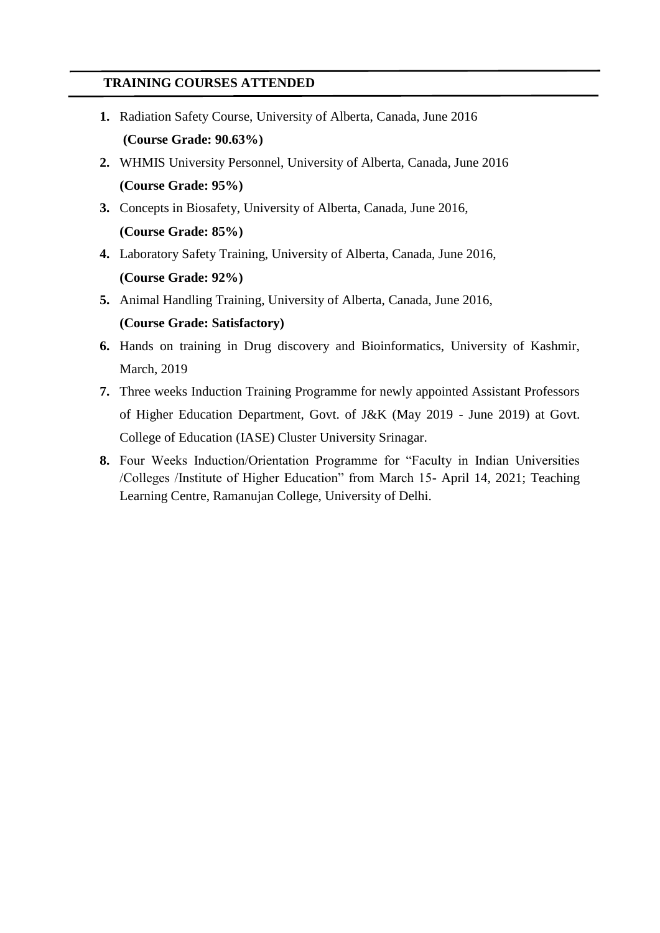## **TRAINING COURSES ATTENDED**

- **1.** Radiation Safety Course, University of Alberta, Canada, June 2016 **(Course Grade: 90.63%)**
- **2.** WHMIS University Personnel, University of Alberta, Canada, June 2016 **(Course Grade: 95%)**
- **3.** Concepts in Biosafety, University of Alberta, Canada, June 2016, **(Course Grade: 85%)**
- **4.** Laboratory Safety Training, University of Alberta, Canada, June 2016, **(Course Grade: 92%)**
- **5.** Animal Handling Training, University of Alberta, Canada, June 2016, **(Course Grade: Satisfactory)**
- **6.** Hands on training in Drug discovery and Bioinformatics, University of Kashmir, March, 2019
- **7.** Three weeks Induction Training Programme for newly appointed Assistant Professors of Higher Education Department, Govt. of J&K (May 2019 - June 2019) at Govt. College of Education (IASE) Cluster University Srinagar.
- **8.** Four Weeks Induction/Orientation Programme for "Faculty in Indian Universities /Colleges /Institute of Higher Education" from March 15- April 14, 2021; Teaching Learning Centre, Ramanujan College, University of Delhi.